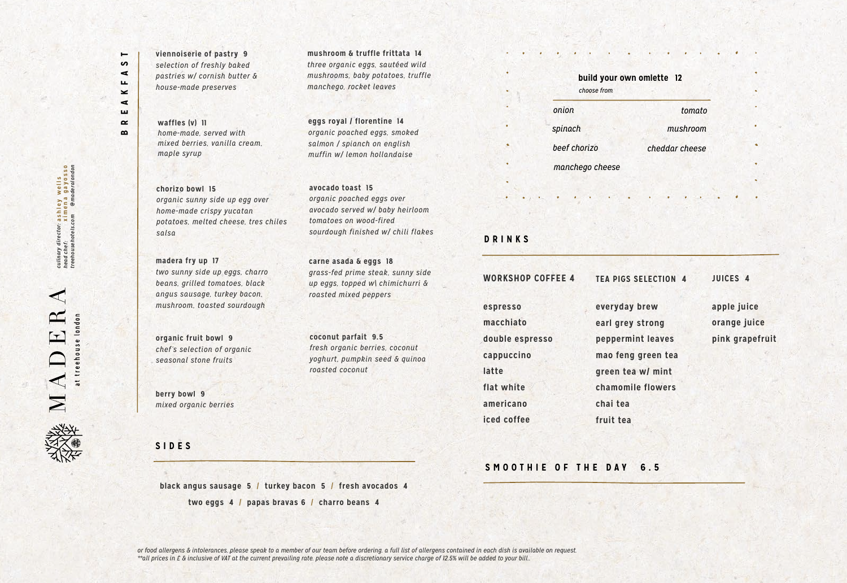**madera fry up 17** *two sunny side up eggs, charro beans, grilled tomatoes, black angus sausage, turkey bacon, mushroom, toasted sourdough*

culinary director: a shley wells<br>head chef: ximena gayosso<br>treehousehotels.com @maderalondon **ximena gayosso @***maderalondon* **ashley wells** *treehousehotels.com culinary director: head chef:* 

 $\sim$ treehouse london  $\mathbf{r}$  $\overline{\mathbf{M}}$   $\mathbf{\Lambda}$ 

**avocado toast 15** *organic poached eggs over avocado served w/ baby heirloom tomatoes on wood-fired sourdough finished w/ chili flakes*

**BREAKFAST**

 $\blacksquare$ 5  $\blacktriangleleft$ ш.  $\geq$  $\blacktriangleleft$ ш  $\alpha$  $\mathbf{a}$ 

> *or food allergens & intolerances, please speak to a member of our team before ordering. a full list of allergens contained in each dish is available on request. \*\*all prices in £ & inclusive of VAT at the current prevailing rate. please note a discretionary service charge of 12.5% will be added to your bill..*

**mushroom & truffle frittata 14** *three organic eggs, sautéed wild mushrooms, baby potatoes, truffle manchego, rocket leaves* 

**SIDES**

**viennoiserie of pastry 9** *selection of freshly baked pastries w/ cornish butter & house-made preserves*

> **eggs royal / florentine 14** *organic poached eggs, smoked salmon / spianch on english muffin w/ lemon hollandaise*

**waffles (v) 11** *home-made, served with mixed berries, vanilla cream, maple syrup*

> **carne asada & eggs 18** *grass-fed prime steak, sunny side up eggs, topped w\ chimichurri & roasted mixed peppers*

**chorizo bowl 15** *organic sunny side up egg over home-made crispy yucatan potatoes, melted cheese, tres chiles salsa*

**organic fruit bowl 9** *chef's selection of organic seasonal stone fruits*

**coconut parfait 9.5** *fresh organic berries, coconut yoghurt, pumpkin seed & quinoa roasted coconut*

**berry bowl 9** *mixed organic berries*

**black angus sausage 5 / turkey bacon 5 / fresh avocados 4 two eggs 4 / papas bravas 6 / charro beans 4**

**DRINKS**

**WORKSHOP COFFEE 4**

**espresso macchiato double espresso cappuccino latte flat white americano iced coffee** 

**TEA PIGS SELECTION 4**

**everyday brew earl grey strong peppermint leaves mao feng green tea green tea w/ mint chamomile flowers chai tea fruit tea**

**JUICES 4**

**apple juice orange juice pink grapefruit** 

**build your own omlette 12**

*onion spinach choose from*

*mushroom tomato*

*beef chorizo cheddar cheese manchego cheese*

### **SMOOTHIE OF THE DAY 6.5**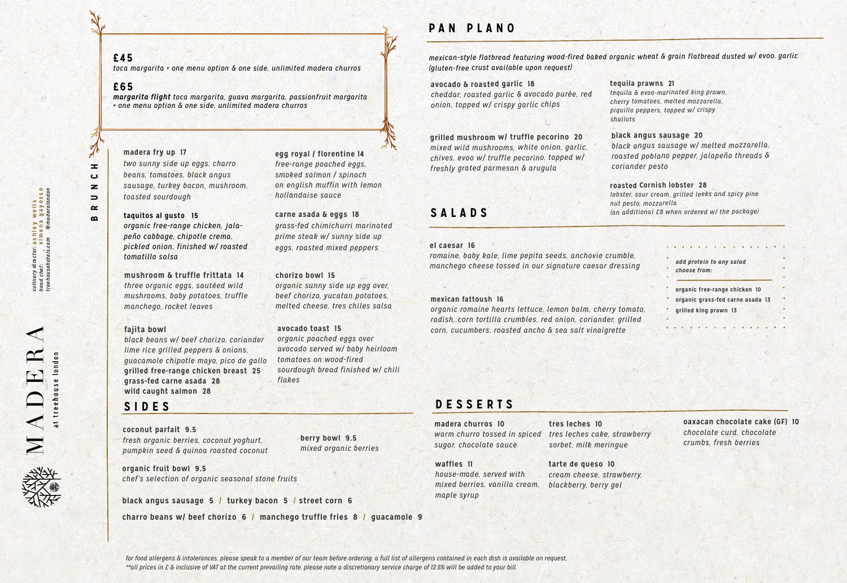*for food allergens & intolerances, please speak to a member of our team before ordering. a full list of allergens contained in each dish is available on request. \*\*all prices in £ & inclusive of VAT at the current prevailing rate. please note a discretionary service charge of 12.5% will be added to your bill.* 

HUNCH  $\alpha$  $\bf{m}$ 

 $\cancel{\pi}$ 

±,  $\mathbf{\tilde{c}}$  $\overline{\mathbf{z}}$ 

 $\Rightarrow$ 

### **SIDES**

**organic fruit bowl 9.5** *chef's selection of organic seasonal stone fruits*

**coconut parfait 9.5** *fresh organic berries, coconut yoghurt, pumpkin seed & quinoa roasted coconut*

#### **berry bowl 9.5** *mixed organic berries*

**black angus sausage 5 / turkey bacon 5 / street corn 6**

**charro beans w/ beef chorizo 6 / manchego truffle fries 8 / guacamole 9**

#### **el caesar 16**

*romaine, baby kale, lime pepita seeds, anchovie crumble, manchego cheese tossed in our signature caesar dressing*

#### **mexican fattoush 16**

*organic romaine hearts lettuce, lemon balm, cherry tomato, radish, corn tortilla crumbles, red onion, coriander, grilled corn, cucumbers, roasted ancho & sea salt vinaigrette*

**SALADS**

### **avocado & roasted garlic 18**

*cheddar, roasted garlic & avocado purée, red onion, topped w/ crispy garlic chips*

#### **black angus sausage 20**

*black angus sausage w/ melted mozzarella, roasted poblano pepper, jalapeño threads & coriander pesto* 

#### **grilled mushroom w/ truffle pecorino 20**  *mixed wild mushrooms, white onion, garlic, chives, evoo w/ truffle pecorino, topped w/ freshly grated parmesan & arugula*

*mexican-style flatbread featuring wood-fired baked organic wheat & grain flatbread dusted w/ evoo, garlic (gluten-free crust available upon request)*

> *add protein to any salad choose from:*

- **organic free-range chicken 10**
- **organic grass-fed carne asada 13**
- **grilled king prawn 13**

**madera fry up 17**

# *two sunny side up eggs, charro*

*beans, tomatoes, black angus sausage, turkey bacon, mushroom, toasted sourdough*

# **avocado toast 15**

*organic poached eggs over avocado served w/ baby heirloom tomatoes on wood-fired sourdough bread finished w/ chili flakes*

#### **mushroom & truffle frittata 14** *three organic eggs, sautéed wild mushrooms, baby potatoes, truffle manchego, rocket leaves*

**egg royal / florentine 14** *free-range poached eggs, smoked salmon / spinach on english muffin with lemon hollandaise sauce*

> **waffles 11** *house-made, served with mixed berries, vanilla cream, maple syrup*

### **carne asada & eggs 18** *grass-fed chimichurri marinated*

*prime steak w/ sunny side up eggs, roasted mixed peppers*

#### **chorizo bowl 15**

*organic sunny side up egg over, beef chorizo, yucatan potatoes, melted cheese, tres chiles salsa*

#### **fajita bowl**

*black beans w/ beef chorizo, coriander lime rice grilled peppers & onions, guacamole chipotle mayo, pico de gallo* **grilled free-range chicken breast 25 grass-fed carne asada 28 wild caught salmon 28**

# **PAN PLANO**

### **£45**

*toca margarita + one menu option & one side, unlimited madera churros*

#### **£65**

*margarita flight toca margarita, guava margarita, passionfruit margarita + one menu option & one side, unlimited madera churros*

### **tarte de queso 10** *cream cheese, strawberry, blackberry, berry gel*

# **DESSERTS**

### **madera churros 10** *warm churro tossed in spiced sugar, chocolate sauce*

**tres leches 10** *tres leches cake, strawberry sorbet, milk meringue*

**oaxacan chocolate cake (GF) 10** *chocolate curd, chocolate crumbs, fresh berries*



#### **taquitos al gusto 15**

*organic free-range chicken, jalapeño cabbage, chipotle crema, pickled onion, finished w/ roasted tomatillo salsa*

#### **roasted Cornish lobster 28**

*lobster, sour cream, grilled leeks and spicy pine nut pesto, mozzarella (an additional £8 when ordered w/ the package)*

#### **tequila prawns 21**

*tequila & evoo-marinated king prawn, cherry tomatoes, melted mozzarella, piquillo peppers, topped w/ crispy* 

*shallots*